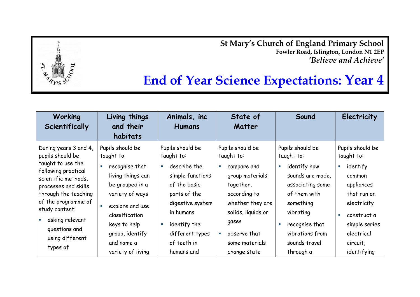**St Mary's Church of England Primary School Fowler Road, Islington, London N1 2EP** *'Believe and Achieve'*



| Working<br>Scientifically                                                                                                                                                                                                                                                                   | Living things<br>and their<br>habitats                                                                                                                                              | Animals, inc<br><b>Humans</b>                                                                                                                                                                         | State of<br>Matter                                                                                                                                                                                                             | Sound                                                                                                                                                                                                                         | Electricity                                                                                                                                                                   |
|---------------------------------------------------------------------------------------------------------------------------------------------------------------------------------------------------------------------------------------------------------------------------------------------|-------------------------------------------------------------------------------------------------------------------------------------------------------------------------------------|-------------------------------------------------------------------------------------------------------------------------------------------------------------------------------------------------------|--------------------------------------------------------------------------------------------------------------------------------------------------------------------------------------------------------------------------------|-------------------------------------------------------------------------------------------------------------------------------------------------------------------------------------------------------------------------------|-------------------------------------------------------------------------------------------------------------------------------------------------------------------------------|
| During years 3 and 4,<br>pupils should be<br>taught to use the<br>following practical<br>scientific methods,<br>processes and skills<br>through the teaching<br>of the programme of<br>study content:<br>asking relevant<br>$\mathcal{L}_{\mathcal{A}}$<br>questions and<br>using different | Pupils should be<br>taught to:<br>recognise that<br>living things can<br>be grouped in a<br>variety of ways<br>explore and use<br>classification<br>keys to help<br>group, identify | Pupils should be<br>taught to:<br>describe the<br>$\mathcal{L}_{\mathcal{A}}$<br>simple functions<br>of the basic<br>parts of the<br>digestive system<br>in humans<br>identify the<br>different types | Pupils should be<br>taught to:<br>compare and<br>$\mathcal{L}_{\mathcal{A}}$<br>group materials<br>together,<br>according to<br>whether they are<br>solids, liquids or<br>gases<br>observe that<br>$\mathcal{L}_{\mathcal{A}}$ | Pupils should be<br>taught to:<br>identify how<br>$\overline{\phantom{a}}$<br>sounds are made,<br>associating some<br>of them with<br>something<br>vibrating<br>recognise that<br>$\overline{\phantom{a}}$<br>vibrations from | Pupils should be<br>taught to:<br>identify<br>$\mathcal{L}_{\mathcal{A}}$<br>common<br>appliances<br>that run on<br>electricity<br>construct a<br>simple series<br>electrical |
| types of                                                                                                                                                                                                                                                                                    | and name a<br>variety of living                                                                                                                                                     | of teeth in<br>humans and                                                                                                                                                                             | some materials<br>change state                                                                                                                                                                                                 | sounds travel<br>through a                                                                                                                                                                                                    | circuit,<br>identifying                                                                                                                                                       |

 $ST$ .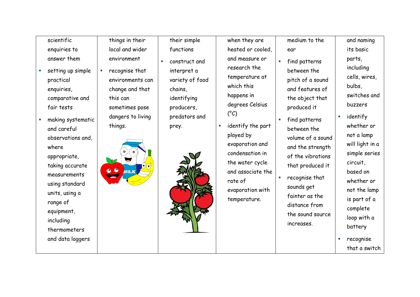scientific enquiries to answer them

- setting up simple practical enquiries, comparative and fair tests
- making systematic and careful observations and, where appropriate, taking accurate measurements using standard units, using a range of equipment, including thermometers and data loggers

things in their local and wider environment

**•** recognise that environments can change and that this can sometimes pose dangers to living things.



- their simple functions
- construct and interpret a variety of food chains, identifying producers, predators and prey.

when they are heated or cooled, and measure or research the temperature at which this happens in degrees Celsius  $(^{\circ}C)$ 

**identify the part** played by evaporation and condensation in the water cycle and associate the rate of evaporation with temperature.

- medium to the ear
- **find patterns** between the pitch of a sound and features of the object that produced it
- find patterns between the volume of a sound and the strength of the vibrations that produced it
- **F** recognise that sounds get fainter as the distance from the sound source increases.

and naming its basic parts, including cells, wires, bulbs, switches and buzzers

- **E** identify whether or not a lamp will light in a simple series circuit, based on whether or not the lamp is part of a complete loop with a battery
- **recognise** that a switch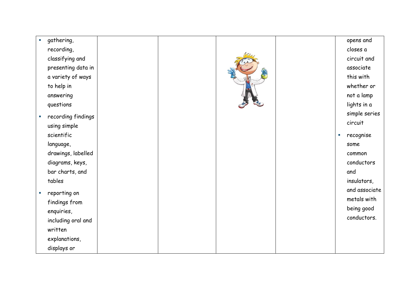| $\blacksquare$              | gathering,         |  |  | opens and       |
|-----------------------------|--------------------|--|--|-----------------|
|                             | recording,         |  |  | closes a        |
|                             | classifying and    |  |  | circuit and     |
|                             | presenting data in |  |  | associate       |
|                             | a variety of ways  |  |  | this with       |
|                             | to help in         |  |  | whether or      |
|                             | answering          |  |  | not a lamp      |
|                             | questions          |  |  | lights in a     |
| $\mathcal{L}_{\mathcal{A}}$ | recording findings |  |  | simple series   |
|                             | using simple       |  |  | circuit         |
|                             | scientific         |  |  | recognise<br>×. |
|                             | language,          |  |  | some            |
|                             | drawings, labelled |  |  | common          |
|                             | diagrams, keys,    |  |  | conductors      |
|                             | bar charts, and    |  |  | and             |
|                             | tables             |  |  | insulators,     |
| $\mathcal{L}_{\mathcal{A}}$ | reporting on       |  |  | and associate   |
|                             | findings from      |  |  | metals with     |
|                             | enquiries,         |  |  | being good      |
|                             | including oral and |  |  | conductors.     |
|                             | written            |  |  |                 |
|                             | explanations,      |  |  |                 |
|                             | displays or        |  |  |                 |
|                             |                    |  |  |                 |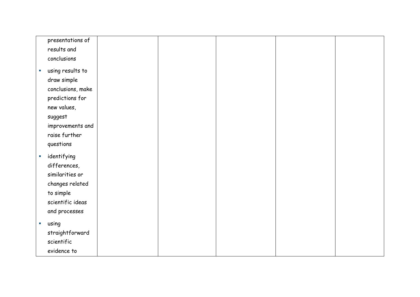|                | presentations of  |  |  |  |
|----------------|-------------------|--|--|--|
|                | results and       |  |  |  |
|                | conclusions       |  |  |  |
| a,             | using results to  |  |  |  |
|                |                   |  |  |  |
|                | draw simple       |  |  |  |
|                | conclusions, make |  |  |  |
|                | predictions for   |  |  |  |
|                | new values,       |  |  |  |
|                | suggest           |  |  |  |
|                | improvements and  |  |  |  |
|                | raise further     |  |  |  |
|                | questions         |  |  |  |
| $\blacksquare$ | identifying       |  |  |  |
|                | differences,      |  |  |  |
|                | similarities or   |  |  |  |
|                | changes related   |  |  |  |
|                | to simple         |  |  |  |
|                |                   |  |  |  |
|                | scientific ideas  |  |  |  |
|                | and processes     |  |  |  |
| u.             | using             |  |  |  |
|                | straightforward   |  |  |  |
|                | scientific        |  |  |  |
|                | evidence to       |  |  |  |